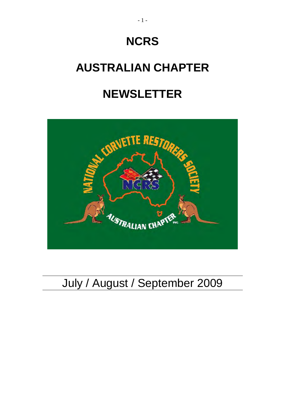# **NCRS**

## **AUSTRALIAN CHAPTER**

## **NEWSLETTER**



## July / August / September 2009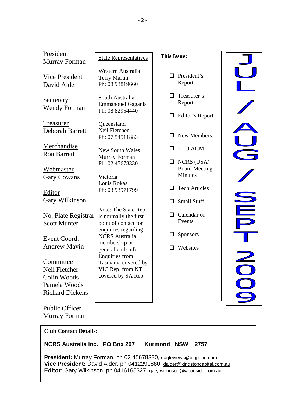| President<br>Murray Forman                                                          | <b>State Representatives</b>                                                        | <b>This Issue:</b>                                      |    |
|-------------------------------------------------------------------------------------|-------------------------------------------------------------------------------------|---------------------------------------------------------|----|
| <b>Vice President</b><br>David Alder                                                | Western Australia<br><b>Terry Martin</b><br>Ph: 08 93819660                         | President's<br>П.<br>Report                             |    |
| Secretary<br><b>Wendy Forman</b>                                                    | South Australia<br><b>Emmanouel Gaganis</b><br>Ph: 08 82954440                      | Treasurer's<br>П<br>Report<br>Editor's Report<br>$\Box$ |    |
| Treasurer<br><b>Deborah Barrett</b>                                                 | Queensland<br>Neil Fletcher<br>Ph: 07 54511883                                      | New Members                                             |    |
| Merchandise<br><b>Ron Barrett</b>                                                   | <b>New South Wales</b><br>Murray Forman                                             | 2009 AGM                                                |    |
| <b>Webmaster</b><br><b>Gary Cowans</b>                                              | Ph: 02 45678330<br>Victoria                                                         | $\Box$ NCRS (USA)<br><b>Board Meeting</b><br>Minutes    |    |
| Editor<br>Gary Wilkinson                                                            | Louis Rokas<br>Ph: 03 93971799                                                      | <b>Tech Articles</b><br>П<br><b>Small Stuff</b>         |    |
| <b>No. Plate Registrar</b><br><b>Scott Munter</b>                                   | Note: The State Rep<br>is normally the first<br>point of contact for                | Calendar of<br>$\Box$<br>Events                         |    |
| Event Coord.<br><b>Andrew Mavin</b>                                                 | enquiries regarding<br><b>NCRS</b> Australia<br>membership or<br>general club info. | <b>Sponsors</b><br>Websites                             |    |
| Committee<br>Neil Fletcher<br>Colin Woods<br>Pamela Woods<br><b>Richard Dickens</b> | Enquiries from<br>Tasmania covered by<br>VIC Rep, from NT<br>covered by SA Rep.     |                                                         | OO |
| <b>Public Officer</b>                                                               |                                                                                     |                                                         |    |

Murray Forman

#### **Club Contact Details:**

#### **NCRS Australia Inc. PO Box 207 Kurmond NSW 2757**

**President:** Murray Forman, ph 02 45678330, [eagleviews@bigpond.com](mailto:eagleviews@bigpond.com) **Vice President:** David Alder, ph 0412291880, [dalder@kingstoncapital.com.au](mailto:dalder@kingstoncapital.com.au) Editor: Gary Wilkinson, ph 0416165327, [gary.wilkinson@woodside.com.au](mailto:gary.wilkinson@woodside.com.au)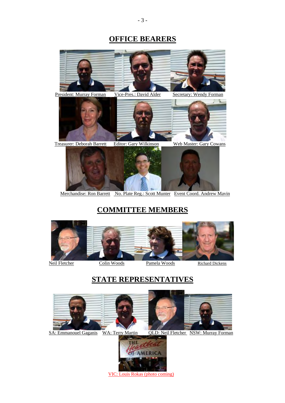### **OFFICE BEARERS**



Merchandise: Ron Barrett No. Plate Reg.: Scott Munter Event Coord. Andrew Mavin

## **COMMITTEE MEMBERS**



### **STATE REPRESENTATIVES**



SA: Emmanouel Gaganis WA: Terry Martin QLD: Neil Fletcher NSW: Murray Forman



VIC: Louis Rokas (photo coming)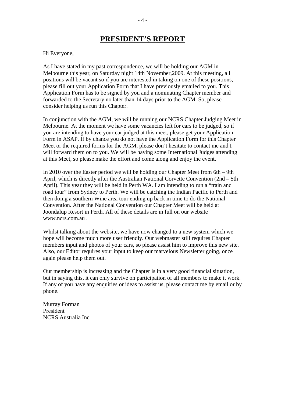### **PRESIDENT'S REPORT**

#### Hi Everyone,

As I have stated in my past correspondence, we will be holding our AGM in Melbourne this year, on Saturday night 14th November,2009. At this meeting, all positions will be vacant so if you are interested in taking on one of these positions, please fill out your Application Form that I have previously emailed to you. This Application Form has to be signed by you and a nominating Chapter member and forwarded to the Secretary no later than 14 days prior to the AGM. So, please consider helping us run this Chapter.

In conjunction with the AGM, we will be running our NCRS Chapter Judging Meet in Melbourne. At the moment we have some vacancies left for cars to be judged, so if you are intending to have your car judged at this meet, please get your Application Form in ASAP. If by chance you do not have the Application Form for this Chapter Meet or the required forms for the AGM, please don't hesitate to contact me and I will forward them on to you. We will be having some International Judges attending at this Meet, so please make the effort and come along and enjoy the event.

In 2010 over the Easter period we will be holding our Chapter Meet from 6th – 9th April, which is directly after the Australian National Corvette Convention (2nd – 5th April). This year they will be held in Perth WA. I am intending to run a "train and road tour" from Sydney to Perth. We will be catching the Indian Pacific to Perth and then doing a southern Wine area tour ending up back in time to do the National Convention. After the National Convention our Chapter Meet will be held at Joondalup Resort in Perth. All of these details are in full on our website [www.ncrs.com.au](http://www.ncrs.com.au/) .

Whilst talking about the website, we have now changed to a new system which we hope will become much more user friendly. Our webmaster still requires Chapter members input and photos of your cars, so please assist him to improve this new site. Also, our Editor requires your input to keep our marvelous Newsletter going, once again please help them out.

Our membership is increasing and the Chapter is in a very good financial situation, but in saying this, it can only survive on participation of all members to make it work. If any of you have any enquiries or ideas to assist us, please contact me by email or by phone.

Murray Forman President NCRS Australia Inc.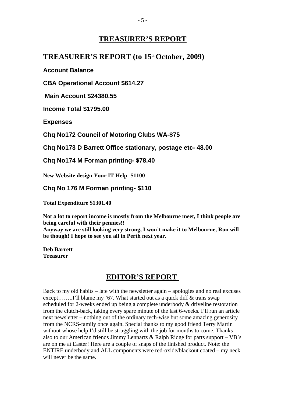### **TREASURER'S REPORT**

#### TREASURER'S REPORT (to 15<sup>th</sup> October, 2009)

**Account Balance** 

**CBA Operational Account \$614.27** 

 **Main Account \$24380.55** 

**Income Total \$1795.00** 

**Expenses** 

**Chq No172 Council of Motoring Clubs WA-\$75** 

**Chq No173 D Barrett Office stationary, postage etc- 48.00** 

**Chq No174 M Forman printing- \$78.40** 

**New Website design Your IT Help- \$1100** 

**Chq No 176 M Forman printing- \$110** 

**Total Expenditure \$1301.40** 

**Not a lot to report income is mostly from the Melbourne meet, I think people are being careful with their pennies!!** 

**Anyway we are still looking very strong, I won't make it to Melbourne, Ron will be though! I hope to see you all in Perth next year.** 

**Deb Barrett Treasurer** 

#### **EDITOR'S REPORT**

Back to my old habits – late with the newsletter again – apologies and no real excuses except........I'll blame my '67. What started out as a quick diff & trans swap scheduled for 2-weeks ended up being a complete underbody & driveline restoration from the clutch-back, taking every spare minute of the last 6-weeks. I'll run an article next newsletter – nothing out of the ordinary tech-wise but some amazing generosity from the NCRS-family once again. Special thanks to my good friend Terry Martin without whose help I'd still be struggling with the job for months to come. Thanks also to our American friends Jimmy Lennartz & Ralph Ridge for parts support – VB's are on me at Easter! Here are a couple of snaps of the finished product. Note: the ENTIRE underbody and ALL components were red-oxide/blackout coated – my neck will never be the same.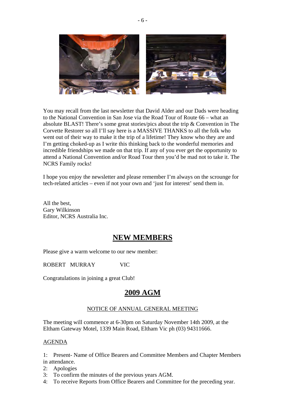

You may recall from the last newsletter that David Alder and our Dads were heading to the National Convention in San Jose via the Road Tour of Route 66 – what an absolute BLAST! There's some great stories/pics about the trip & Convention in The Corvette Restorer so all I'll say here is a MASSIVE THANKS to all the folk who went out of their way to make it the trip of a lifetime! They know who they are and I'm getting choked-up as I write this thinking back to the wonderful memories and incredible friendships we made on that trip. If any of you ever get the opportunity to attend a National Convention and/or Road Tour then you'd be mad not to take it. The NCRS Family rocks!

I hope you enjoy the newsletter and please remember I'm always on the scrounge for tech-related articles – even if not your own and 'just for interest' send them in.

All the best, Gary Wilkinson Editor, NCRS Australia Inc.

### **NEW MEMBERS**

Please give a warm welcome to our new member:

ROBERT MURRAY VIC

Congratulations in joining a great Club!

#### **2009 AGM**

#### NOTICE OF ANNUAL GENERAL MEETING

The meeting will commence at 6-30pm on Saturday November 14th 2009, at the Eltham Gateway Motel, 1339 Main Road, Eltham Vic ph (03) 94311666.

#### AGENDA

1: Present- Name of Office Bearers and Committee Members and Chapter Members in attendance.

- 2: Apologies
- 3: To confirm the minutes of the previous years AGM.
- 4: To receive Reports from Office Bearers and Committee for the preceding year.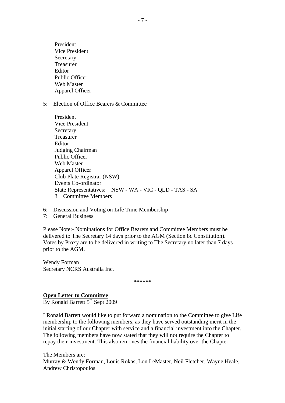President Vice President Secretary Treasurer Editor Public Officer Web Master Apparel Officer

5: Election of Office Bearers & Committee

| President                                              |
|--------------------------------------------------------|
| Vice President                                         |
| Secretary                                              |
| Treasurer                                              |
| Editor                                                 |
| Judging Chairman                                       |
| <b>Public Officer</b>                                  |
| Web Master                                             |
| Apparel Officer                                        |
| Club Plate Registrar (NSW)                             |
| <b>Events Co-ordinator</b>                             |
| State Representatives: NSW - WA - VIC - QLD - TAS - SA |
| <b>Committee Members</b>                               |
|                                                        |

- 6: Discussion and Voting on Life Time Membership
- 7: General Business

Please Note:- Nominations for Office Bearers and Committee Members must be delivered to The Secretary 14 days prior to the AGM (Section 8c Constitution). Votes by Proxy are to be delivered in writing to The Secretary no later than 7 days prior to the AGM.

Wendy Forman Secretary NCRS Australia Inc.

**\*\*\*\*\*\*** 

#### **Open Letter to Committee**

By Ronald Barrett  $5<sup>th</sup>$  Sept 2009

I Ronald Barrett would like to put forward a nomination to the Committee to give Life membership to the following members, as they have served outstanding merit in the initial starting of our Chapter with service and a financial investment into the Chapter. The following members have now stated that they will not require the Chapter to repay their investment. This also removes the financial liability over the Chapter.

The Members are: Murray & Wendy Forman, Louis Rokas, Lon LeMaster, Neil Fletcher, Wayne Heale, Andrew Christopoulos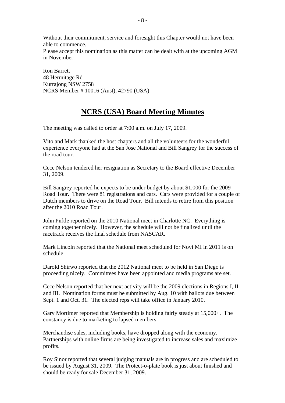Without their commitment, service and foresight this Chapter would not have been able to commence.

Please accept this nomination as this matter can be dealt with at the upcoming AGM in November.

Ron Barrett 48 Hermitage Rd Kurrajong NSW 2758 NCRS Member # 10016 (Aust), 42790 (USA)

### **NCRS (USA) Board Meeting Minutes**

The meeting was called to order at 7:00 a.m. on July 17, 2009.

Vito and Mark thanked the host chapters and all the volunteers for the wonderful experience everyone had at the San Jose National and Bill Sangrey for the success of the road tour.

Cece Nelson tendered her resignation as Secretary to the Board effective December 31, 2009.

Bill Sangrey reported he expects to be under budget by about \$1,000 for the 2009 Road Tour. There were 81 registrations and cars. Cars were provided for a couple of Dutch members to drive on the Road Tour. Bill intends to retire from this position after the 2010 Road Tour.

John Pirkle reported on the 2010 National meet in Charlotte NC. Everything is coming together nicely. However, the schedule will not be finalized until the racetrack receives the final schedule from NASCAR.

Mark Lincoln reported that the National meet scheduled for Novi MI in 2011 is on schedule.

Darold Shirwo reported that the 2012 National meet to be held in San Diego is proceeding nicely. Committees have been appointed and media programs are set.

Cece Nelson reported that her next activity will be the 2009 elections in Regions I, II and III. Nomination forms must be submitted by Aug. 10 with ballots due between Sept. 1 and Oct. 31. The elected reps will take office in January 2010.

Gary Mortimer reported that Membership is holding fairly steady at 15,000+. The constancy is due to marketing to lapsed members.

Merchandise sales, including books, have dropped along with the economy. Partnerships with online firms are being investigated to increase sales and maximize profits.

Roy Sinor reported that several judging manuals are in progress and are scheduled to be issued by August 31, 2009. The Protect-o-plate book is just about finished and should be ready for sale December 31, 2009.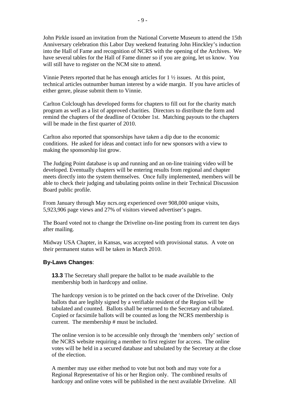John Pirkle issued an invitation from the National Corvette Museum to attend the 15th Anniversary celebration this Labor Day weekend featuring John Hinckley's induction into the Hall of Fame and recognition of NCRS with the opening of the Archives. We have several tables for the Hall of Fame dinner so if you are going, let us know. You will still have to register on the NCM site to attend.

Vinnie Peters reported that he has enough articles for  $1 \frac{1}{2}$  issues. At this point, technical articles outnumber human interest by a wide margin. If you have articles of either genre, please submit them to Vinnie.

Carlton Colclough has developed forms for chapters to fill out for the charity match program as well as a list of approved charities. Directors to distribute the form and remind the chapters of the deadline of October 1st. Matching payouts to the chapters will be made in the first quarter of 2010.

Carlton also reported that sponsorships have taken a dip due to the economic conditions. He asked for ideas and contact info for new sponsors with a view to making the sponsorship list grow.

The Judging Point database is up and running and an on-line training video will be developed. Eventually chapters will be entering results from regional and chapter meets directly into the system themselves. Once fully implemented, members will be able to check their judging and tabulating points online in their Technical Discussion Board public profile.

From January through May ncrs.org experienced over 908,000 unique visits, 5,923,906 page views and 27% of visitors viewed advertiser's pages.

The Board voted not to change the Driveline on-line posting from its current ten days after mailing.

Midway USA Chapter, in Kansas, was accepted with provisional status. A vote on their permanent status will be taken in March 2010.

#### **By-Laws Changes**:

**13.3** The Secretary shall prepare the ballot to be made available to the membership both in hardcopy and online.

The hardcopy version is to be printed on the back cover of the Driveline. Only ballots that are legibly signed by a verifiable resident of the Region will be tabulated and counted. Ballots shall be returned to the Secretary and tabulated. Copied or facsimile ballots will be counted as long the NCRS membership is current. The membership # must be included.

The online version is to be accessible only through the 'members only' section of the NCRS website requiring a member to first register for access. The online votes will be held in a secured database and tabulated by the Secretary at the close of the election.

A member may use either method to vote but not both and may vote for a Regional Representative of his or her Region only. The combined results of hardcopy and online votes will be published in the next available Driveline. All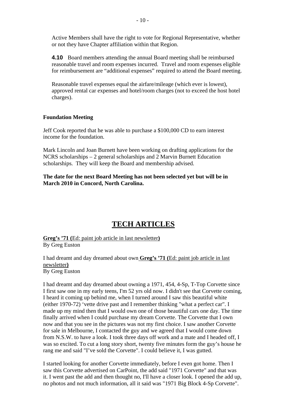Active Members shall have the right to vote for Regional Representative, whether or not they have Chapter affiliation within that Region.

**4.10** Board members attending the annual Board meeting shall be reimbursed reasonable travel and room expenses incurred. Travel and room expenses eligible for reimbursement are "additional expenses" required to attend the Board meeting.

Reasonable travel expenses equal the airfare/mileage (which ever is lowest), approved rental car expenses and hotel/room charges (not to exceed the host hotel charges).

#### **Foundation Meeting**

Jeff Cook reported that he was able to purchase a \$100,000 CD to earn interest income for the foundation.

Mark Lincoln and Joan Burnett have been working on drafting applications for the NCRS scholarships – 2 general scholarships and 2 Marvin Burnett Education scholarships. They will keep the Board and membership advised.

**The date for the next Board Meeting has not been selected yet but will be in March 2010 in Concord, North Carolina.** 

#### **TECH ARTICLES**

**Greg's '71 (**Ed: paint job article in last newsletter**)** By Greg Euston

I had dreamt and day dreamed about own **Greg's '71 (**Ed: paint job article in last newsletter**)** By Greg Euston

I had dreamt and day dreamed about owning a 1971, 454, 4-Sp, T-Top Corvette since I first saw one in my early teens, I'm 52 yrs old now. I didn't see that Corvette coming, I heard it coming up behind me, when I turned around I saw this beautiful white (either 1970-72) 'vette drive past and I remember thinking "what a perfect car". I made up my mind then that I would own one of those beautiful cars one day. The time finally arrived when I could purchase my dream Corvette. The Corvette that I own now and that you see in the pictures was not my first choice. I saw another Corvette for sale in Melbourne, I contacted the guy and we agreed that I would come down from N.S.W. to have a look. I took three days off work and a mate and I headed off, I was so excited. To cut a long story short, twenty five minutes form the guy's house he rang me and said "I've sold the Corvette". I could believe it, I was gutted.

I started looking for another Corvette immediately, before I even got home. Then I saw this Corvette advertised on CarPoint, the add said "1971 Corvette" and that was it. I went past the add and then thought no, I'll have a closer look. I opened the add up, no photos and not much information, all it said was "1971 Big Block 4-Sp Corvette".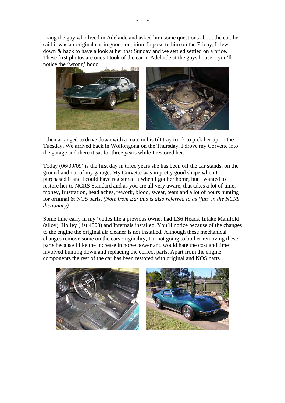I rang the guy who lived in Adelaide and asked him some questions about the car, he said it was an original car in good condition. I spoke to him on the Friday, I flew down & back to have a look at her that Sunday and we settled settled on a price. These first photos are ones I took of the car in Adelaide at the guys house – you'll notice the 'wrong' hood.



I then arranged to drive down with a mate in his tilt tray truck to pick her up on the Tuesday. We arrived back in Wollongong on the Thursday, I drove my Corvette into the garage and there it sat for three years while I restored her.

Today (06/09/09) is the first day in three years she has been off the car stands, on the ground and out of my garage. My Corvette was in pretty good shape when I purchased it and I could have registered it when I got her home, but I wanted to restore her to NCRS Standard and as you are all very aware, that takes a lot of time, money, frustration, head aches, rework, blood, sweat, tears and a lot of hours hunting for original & NOS parts. *(Note from Ed: this is also referred to as 'fun' in the NCRS dictionary)* 

Some time early in my 'vettes life a previous owner had LS6 Heads, Intake Manifold (alloy), Holley (list 4803) and Internals installed. You'll notice because of the changes to the engine the original air cleaner is not installed. Although these mechanical changes remove some on the cars originality, I'm not going to bother removing these parts because I like the increase in horse power and would hate the cost and time involved hunting down and replacing the correct parts. Apart from the engine components the rest of the car has been restored with original and NOS parts.

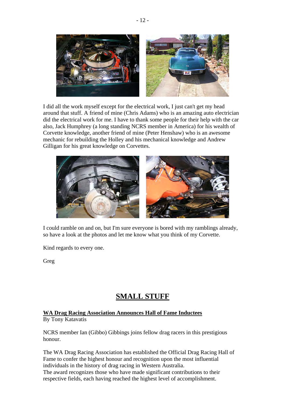

I did all the work myself except for the electrical work, I just can't get my head around that stuff. A friend of mine (Chris Adams) who is an amazing auto electrician did the electrical work for me. I have to thank some people for their help with the car also, Jack Humphrey (a long standing NCRS member in America) for his wealth of Corvette knowledge, another friend of mine (Peter Henshaw) who is an awesome mechanic for rebuilding the Holley and his mechanical knowledge and Andrew Gilligan for his great knowledge on Corvettes.



I could ramble on and on, but I'm sure everyone is bored with my ramblings already, so have a look at the photos and let me know what you think of my Corvette.

Kind regards to every one.

Greg

### **SMALL STUFF**

### **WA Drag Racing Association Announces Hall of Fame Inductees**

By Tony Katavatis

NCRS member Ian (Gibbo) Gibbings joins fellow drag racers in this prestigious honour.

The WA Drag Racing Association has established the Official Drag Racing Hall of Fame to confer the highest honour and recognition upon the most influential individuals in the history of drag racing in Western Australia. The award recognizes those who have made significant contributions to their respective fields, each having reached the highest level of accomplishment.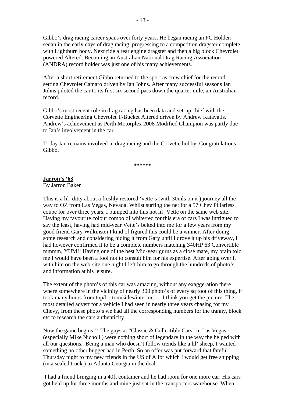Gibbo's drag racing career spans over forty years. He began racing an FC Holden sedan in the early days of drag racing, progressing to a competition dragster complete with Lightburn body. Next ride a rear engine dragster and then a big block Chevrolet powered Altered. Becoming an Australian National Drag Racing Association (ANDRA) record holder was just one of his many achievements.

After a short retirement Gibbo returned to the sport as crew chief for the record setting Chevrolet Camaro driven by Ian Johns. After many successful seasons Ian Johns piloted the car to its first six second pass down the quarter mile, an Australian record.

Gibbo's most recent role in drag racing has been data and set-up chief with the Corvette Engineering Chevrolet T-Bucket Altered driven by Andrew Katavatis. Andrew's achievement as Perth Motorplex 2008 Modified Champion was partly due to Ian's involvement in the car.

Today Ian remains involved in drag racing and the Corvette hobby. Congratulations Gibbo.

**\*\*\*\*\*\*** 

#### **Jarron's '63** By Jarron Baker

This is a lil' ditty about a freshly restored 'vette's (with 30mls on it ) journey all the way to OZ from Las Vegas, Nevada. Whilst surfing the net for a 57 Chev Pillarless coupe for over three years, I bumped into this hot lil' Vette on the same web site. Having my favourite colour combo of white/red for this era of cars I was intrigued to say the least, having had mid-year Vette's belted into me for a few years from my good friend Gary Wilkinson I kind of figured this could be a winner. After doing some research and considering hiding it from Gary until I drove it up his driveway, I had however confirmed it to be a complete numbers matching 340HP 63 Convertible mmmm, YUM!! Having one of the best Mid-year gurus as a close mate, my brain told me I would have been a fool not to consult him for his expertise. After going over it with him on the web-site one night I left him to go through the hundreds of photo's and information at his leisure.

The extent of the photo's of this car was amazing, without any exaggeration there where somewhere in the vicinity of nearly 300 photo's of every sq foot of this thing, it took many hours from top/bottom/sides/interior..… I think you get the picture. The most detailed advert for a vehicle I had seen in nearly three years chasing for my Chevy, from these photo's we had all the corresponding numbers for the tranny, block etc to research the cars authenticity.

Now the game begins!!! The guys at "Classic & Collectible Cars" in Las Vegas (especially Mike Nicholl ) were nothing short of legendary in the way the helped with all our questions. Being a man who doesn't follow trends like a lil' sheep, I wanted something no other bugger had in Perth. So an offer was put forward that fateful Thursday night to my new friends in the US of A for which I would get free shipping (in a sealed truck ) to Atlanta Georgia in the deal.

 I had a friend bringing in a 40ft container and he had room for one more car. His cars got held up for three months and mine just sat in the transporters warehouse. When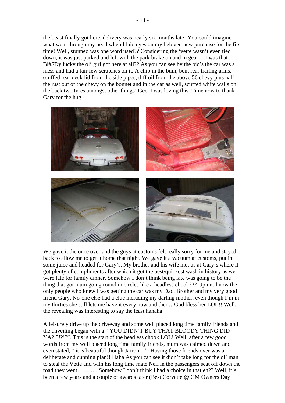the beast finally got here, delivery was nearly six months late! You could imagine what went through my head when I laid eyes on my beloved new purchase for the first time! Well, stunned was one word used?? Considering the 'vette wasn't even tied down, it was just parked and left with the park brake on and in gear… I was that Bl#\$Dy lucky the ol' girl got here at all?? As you can see by the pic's the car was a mess and had a fair few scratches on it. A chip in the bum, bent rear trailing arms, scuffed rear deck lid from the side pipes, diff oil from the above 56 chevy plus half the rust out of the chevy on the bonnet and in the car as well, scuffed white walls on the back two tyres amongst other things! Gee, I was loving this. Time now to thank Gary for the hug.



We gave it the once over and the guys at customs felt really sorry for me and stayed back to allow me to get it home that night. We gave it a vacuum at customs, put in some juice and headed for Gary's. My brother and his wife met us at Gary's where it got plenty of compliments after which it got the best/quickest wash in history as we were late for family dinner. Somehow I don't think being late was going to be the thing that got mum going round in circles like a headless chook??? Up until now the only people who knew I was getting the car was my Dad, Brother and my very good friend Gary. No-one else had a clue including my darling mother, even though I'm in my thirties she still lets me have it every now and then…God bless her LOL!! Well, the revealing was interesting to say the least hahaha

A leisurely drive up the driveway and some well placed long time family friends and the unveiling began with a " YOU DIDN'T BUY THAT BLOODY THING DID YA?!?!?!?". This is the start of the headless chook LOL! Well, after a few good words from my well placed long time family friends, mum was calmed down and even stated, " it is beautiful though Jarron…" Having those friends over was a deliberate and cunning plan!! Haha As you can see it didn't take long for the ol' man to steal the Vette and with his long time mate Neil in the passengers seat off down the road they went……….. Somehow I don't think I had a choice in that eh?? Well, it's been a few years and a couple of awards later (Best Corvette @ GM Owners Day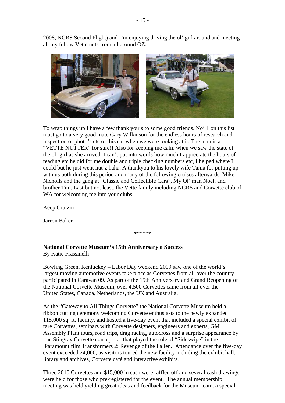2008, NCRS Second Flight) and I'm enjoying driving the ol' girl around and meeting all my fellow Vette nuts from all around OZ.



To wrap things up I have a few thank you's to some good friends. No' 1 on this list must go to a very good mate Gary Wilkinson for the endless hours of research and inspection of photo's etc of this car when we were looking at it. The man is a "VETTE NUTTER" for sure!! Also for keeping me calm when we saw the state of the ol' girl as she arrived. I can't put into words how much I appreciate the hours of reading etc he did for me double and triple checking numbers etc, I helped where I could but he just went nut'z haha. A thankyou to his lovely wife Tania for putting up with us both during this period and many of the following cruises afterwards. Mike Nicholls and the gang at "Classic and Collectible Cars", My Ol' man Noel, and brother Tim. Last but not least, the Vette family including NCRS and Corvette club of WA for welcoming me into your clubs.

Keep Cruizin

Jarron Baker

\*\*\*\*\*\*

#### **National Corvette Museum's 15th Anniversary a Success** By Katie Frassinelli

Bowling Green, Kentuckey – Labor Day weekend 2009 saw one of the world's largest moving automotive events take place as Corvettes from all over the country participated in Caravan 09. As part of the 15th Anniversary and Grand Reopening of the National Corvette Museum, over 4,500 Corvettes came from all over the United States, Canada, Netherlands, the UK and Australia.

As the "Gateway to All Things Corvette" the National Corvette Museum held a ribbon cutting ceremony welcoming Corvette enthusiasts to the newly expanded 115,000 sq. ft. facility, and hosted a five-day event that included a special exhibit of rare Corvettes, seminars with Corvette designers, engineers and experts, GM Assembly Plant tours, road trips, drag racing, autocross and a surprise appearance by the Stingray Corvette concept car that played the role of "Sideswipe" in the Paramount film Transformers 2: Revenge of the Fallen. Attendance over the five-day event exceeded 24,000, as visitors toured the new facility including the exhibit hall, library and archives, Corvette café and interactive exhibits.

Three 2010 Corvettes and \$15,000 in cash were raffled off and several cash drawings were held for those who pre-registered for the event. The annual membership meeting was held yielding great ideas and feedback for the Museum team, a special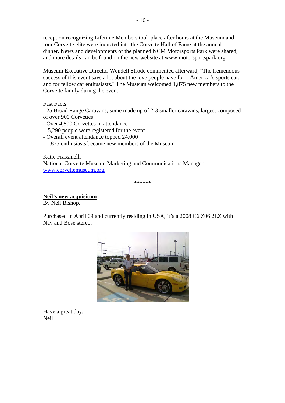reception recognizing Lifetime Members took place after hours at the Museum and four Corvette elite were inducted into the Corvette Hall of Fame at the annual dinner. News and developments of the planned NCM Motorsports Park were shared, and more details can be found on the new website at www.motorsportspark.org.

Museum Executive Director Wendell Strode commented afterward, "The tremendous success of this event says a lot about the love people have for – America 's sports car, and for fellow car enthusiasts." The Museum welcomed 1,875 new members to the Corvette family during the event.

Fast Facts:

- 25 Broad Range Caravans, some made up of 2-3 smaller caravans, largest composed of over 900 Corvettes

- Over 4,500 Corvettes in attendance
- 5,290 people were registered for the event
- Overall event attendance topped 24,000
- 1,875 enthusiasts became new members of the Museum

Katie Frassinelli National Corvette Museum Marketing and Communications Manager [www.corvettemuseum.org.](http://www.corvettemuseum.org/)

**\*\*\*\*\*\*** 

**Neil's new acquisition** By Neil Bishop.

Purchased in April 09 and currently residing in USA, it's a 2008 C6 Z06 2LZ with Nav and Bose stereo.



Have a great day. Neil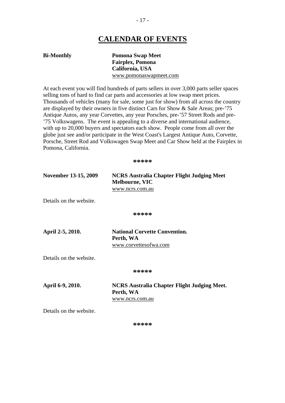### **CALENDAR OF EVENTS**

**Bi-Monthly Pomona Swap Meet Fairplex, Pomona California, USA** [www.pomonaswapmeet.com](http://www.pomonaswapmeet.com/)

At each event you will find hundreds of parts sellers in over 3,000 parts seller spaces selling tons of hard to find car parts and accessories at low swap meet prices. Thousands of vehicles (many for sale, some just for show) from all across the country are displayed by their owners in five distinct Cars for Show & Sale Areas; pre-'75 Antique Autos, any year Corvettes, any year Porsches, pre-'57 Street Rods and pre- '75 Volkswagens. The event is appealing to a diverse and international audience, with up to 20,000 buyers and spectators each show. People come from all over the globe just see and/or participate in the West Coast's Largest Antique Auto, Corvette, Porsche, Street Rod and Volkswagen Swap Meet and Car Show held at the Fairplex in Pomona, California.

**\*\*\*\*\*** 

| November 13-15, 2009 | NCRS Australia Chapter Flight Judging Meet |  |
|----------------------|--------------------------------------------|--|
|                      | Melbourne, VIC                             |  |
|                      | www.ncrs.com.au                            |  |

Details on the website.

**\*\*\*\*\*** 

**April 2-5, 2010. National Corvette Convention. Perth, WA**  www.corvettesofwa.com

Details on the website.

**\*\*\*\*\*** 

**April 6-9, 2010. NCRS Australia Chapter Flight Judging Meet. Perth, WA** [www.ncrs.com.au](http://www.ncrs.com.au/)

Details on the website.

**\*\*\*\*\***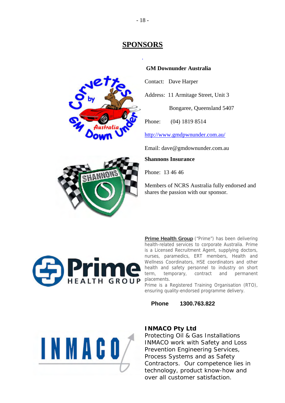### **SPONSORS**

.



#### **GM Downunder Australia**

Contact: Dave Harper

Address: 11 Armitage Street, Unit 3

Bongaree, Queensland 5407

Phone: (04) 1819 8514

<http://www.gmdpwnunder.com.au/>

Email: dave@gmdownunder.com.au

**Shannons Insurance** 

Phone: 13 46 46

Members of NCRS Australia fully endorsed and shares the passion with our sponsor.



**Prime Health Group** ("Prime") has been delivering health-related services to corporate Australia. Prime is a Licensed Recruitment Agent, supplying doctors, nurses, paramedics, ERT members, Health and Wellness Coordinators, HSE coordinators and other health and safety personnel to industry on short term, temporary, contract and permanent placements.

Prime is a Registered Training Organisation (RTO), ensuring quality-endorsed programme delivery.

**Phone 1300.763.822**



#### **INMACO Pty Ltd**

Protecting Oil & Gas Installations INMACO work with Safety and Loss Prevention Engineering Services, Process Systems and as Safety Contractors. Our competence lies in technology, product know-how and over all customer satisfaction.